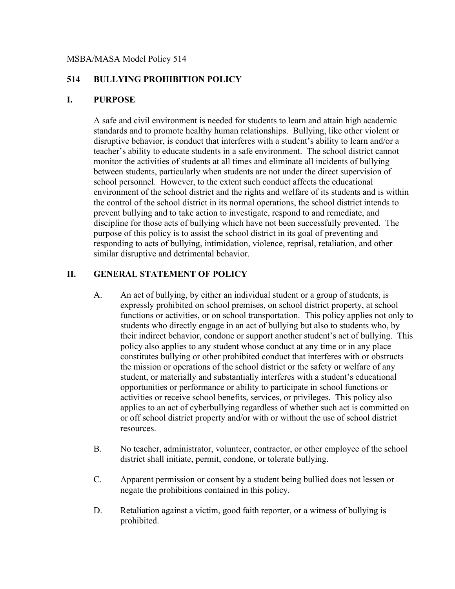#### MSBA/MASA Model Policy 514

# **514 BULLYING PROHIBITION POLICY**

#### **I. PURPOSE**

A safe and civil environment is needed for students to learn and attain high academic standards and to promote healthy human relationships. Bullying, like other violent or disruptive behavior, is conduct that interferes with a student's ability to learn and/or a teacher's ability to educate students in a safe environment. The school district cannot monitor the activities of students at all times and eliminate all incidents of bullying between students, particularly when students are not under the direct supervision of school personnel. However, to the extent such conduct affects the educational environment of the school district and the rights and welfare of its students and is within the control of the school district in its normal operations, the school district intends to prevent bullying and to take action to investigate, respond to and remediate, and discipline for those acts of bullying which have not been successfully prevented. The purpose of this policy is to assist the school district in its goal of preventing and responding to acts of bullying, intimidation, violence, reprisal, retaliation, and other similar disruptive and detrimental behavior.

## **II. GENERAL STATEMENT OF POLICY**

- A. An act of bullying, by either an individual student or a group of students, is expressly prohibited on school premises, on school district property, at school functions or activities, or on school transportation. This policy applies not only to students who directly engage in an act of bullying but also to students who, by their indirect behavior, condone or support another student's act of bullying. This policy also applies to any student whose conduct at any time or in any place constitutes bullying or other prohibited conduct that interferes with or obstructs the mission or operations of the school district or the safety or welfare of any student, or materially and substantially interferes with a student's educational opportunities or performance or ability to participate in school functions or activities or receive school benefits, services, or privileges. This policy also applies to an act of cyberbullying regardless of whether such act is committed on or off school district property and/or with or without the use of school district resources.
- B. No teacher, administrator, volunteer, contractor, or other employee of the school district shall initiate, permit, condone, or tolerate bullying.
- C. Apparent permission or consent by a student being bullied does not lessen or negate the prohibitions contained in this policy.
- D. Retaliation against a victim, good faith reporter, or a witness of bullying is prohibited.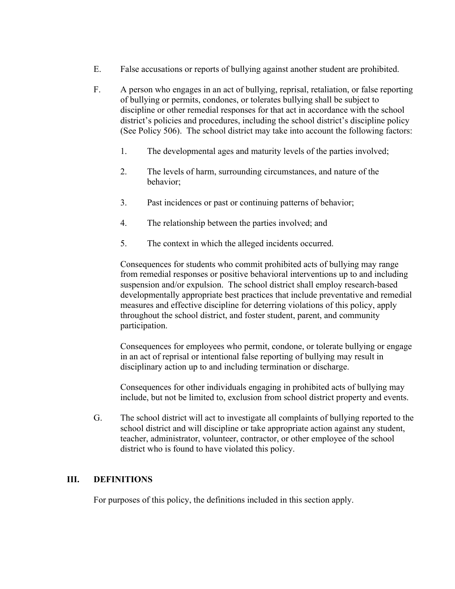- E. False accusations or reports of bullying against another student are prohibited.
- F. A person who engages in an act of bullying, reprisal, retaliation, or false reporting of bullying or permits, condones, or tolerates bullying shall be subject to discipline or other remedial responses for that act in accordance with the school district's policies and procedures, including the school district's discipline policy (See Policy 506). The school district may take into account the following factors:
	- 1. The developmental ages and maturity levels of the parties involved;
	- 2. The levels of harm, surrounding circumstances, and nature of the behavior;
	- 3. Past incidences or past or continuing patterns of behavior;
	- 4. The relationship between the parties involved; and
	- 5. The context in which the alleged incidents occurred.

Consequences for students who commit prohibited acts of bullying may range from remedial responses or positive behavioral interventions up to and including suspension and/or expulsion. The school district shall employ research-based developmentally appropriate best practices that include preventative and remedial measures and effective discipline for deterring violations of this policy, apply throughout the school district, and foster student, parent, and community participation.

Consequences for employees who permit, condone, or tolerate bullying or engage in an act of reprisal or intentional false reporting of bullying may result in disciplinary action up to and including termination or discharge.

Consequences for other individuals engaging in prohibited acts of bullying may include, but not be limited to, exclusion from school district property and events.

G. The school district will act to investigate all complaints of bullying reported to the school district and will discipline or take appropriate action against any student, teacher, administrator, volunteer, contractor, or other employee of the school district who is found to have violated this policy.

#### **III. DEFINITIONS**

For purposes of this policy, the definitions included in this section apply.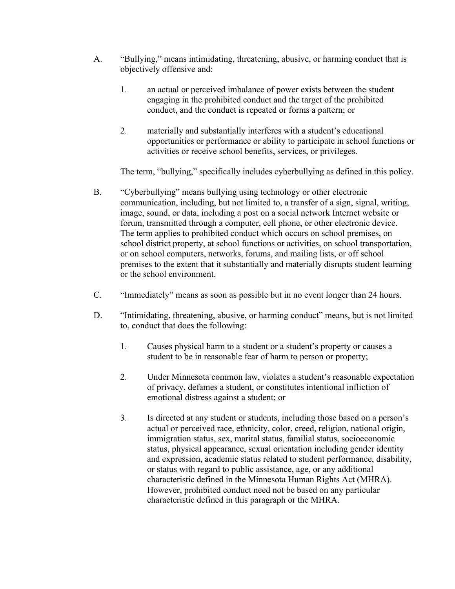- A. "Bullying," means intimidating, threatening, abusive, or harming conduct that is objectively offensive and:
	- 1. an actual or perceived imbalance of power exists between the student engaging in the prohibited conduct and the target of the prohibited conduct, and the conduct is repeated or forms a pattern; or
	- 2. materially and substantially interferes with a student's educational opportunities or performance or ability to participate in school functions or activities or receive school benefits, services, or privileges.

The term, "bullying," specifically includes cyberbullying as defined in this policy.

- B. "Cyberbullying" means bullying using technology or other electronic communication, including, but not limited to, a transfer of a sign, signal, writing, image, sound, or data, including a post on a social network Internet website or forum, transmitted through a computer, cell phone, or other electronic device. The term applies to prohibited conduct which occurs on school premises, on school district property, at school functions or activities, on school transportation, or on school computers, networks, forums, and mailing lists, or off school premises to the extent that it substantially and materially disrupts student learning or the school environment.
- C. "Immediately" means as soon as possible but in no event longer than 24 hours.
- D. "Intimidating, threatening, abusive, or harming conduct" means, but is not limited to, conduct that does the following:
	- 1. Causes physical harm to a student or a student's property or causes a student to be in reasonable fear of harm to person or property;
	- 2. Under Minnesota common law, violates a student's reasonable expectation of privacy, defames a student, or constitutes intentional infliction of emotional distress against a student; or
	- 3. Is directed at any student or students, including those based on a person's actual or perceived race, ethnicity, color, creed, religion, national origin, immigration status, sex, marital status, familial status, socioeconomic status, physical appearance, sexual orientation including gender identity and expression, academic status related to student performance, disability, or status with regard to public assistance, age, or any additional characteristic defined in the Minnesota Human Rights Act (MHRA). However, prohibited conduct need not be based on any particular characteristic defined in this paragraph or the MHRA.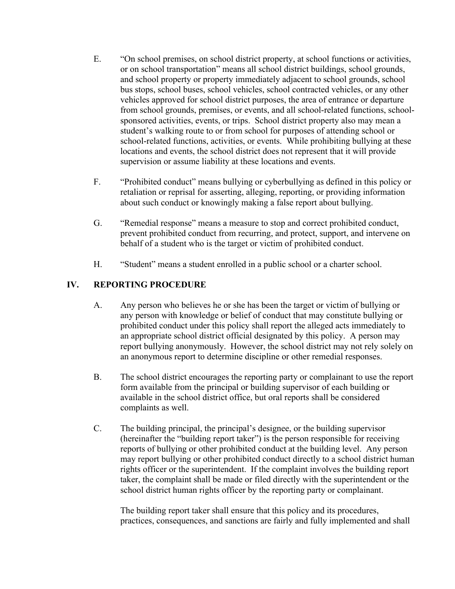- E. "On school premises, on school district property, at school functions or activities, or on school transportation" means all school district buildings, school grounds, and school property or property immediately adjacent to school grounds, school bus stops, school buses, school vehicles, school contracted vehicles, or any other vehicles approved for school district purposes, the area of entrance or departure from school grounds, premises, or events, and all school-related functions, schoolsponsored activities, events, or trips. School district property also may mean a student's walking route to or from school for purposes of attending school or school-related functions, activities, or events. While prohibiting bullying at these locations and events, the school district does not represent that it will provide supervision or assume liability at these locations and events.
- F. "Prohibited conduct" means bullying or cyberbullying as defined in this policy or retaliation or reprisal for asserting, alleging, reporting, or providing information about such conduct or knowingly making a false report about bullying.
- G. "Remedial response" means a measure to stop and correct prohibited conduct, prevent prohibited conduct from recurring, and protect, support, and intervene on behalf of a student who is the target or victim of prohibited conduct.
- H. "Student" means a student enrolled in a public school or a charter school.

## **IV. REPORTING PROCEDURE**

- A. Any person who believes he or she has been the target or victim of bullying or any person with knowledge or belief of conduct that may constitute bullying or prohibited conduct under this policy shall report the alleged acts immediately to an appropriate school district official designated by this policy. A person may report bullying anonymously. However, the school district may not rely solely on an anonymous report to determine discipline or other remedial responses.
- B. The school district encourages the reporting party or complainant to use the report form available from the principal or building supervisor of each building or available in the school district office, but oral reports shall be considered complaints as well.
- C. The building principal, the principal's designee, or the building supervisor (hereinafter the "building report taker") is the person responsible for receiving reports of bullying or other prohibited conduct at the building level. Any person may report bullying or other prohibited conduct directly to a school district human rights officer or the superintendent. If the complaint involves the building report taker, the complaint shall be made or filed directly with the superintendent or the school district human rights officer by the reporting party or complainant.

The building report taker shall ensure that this policy and its procedures, practices, consequences, and sanctions are fairly and fully implemented and shall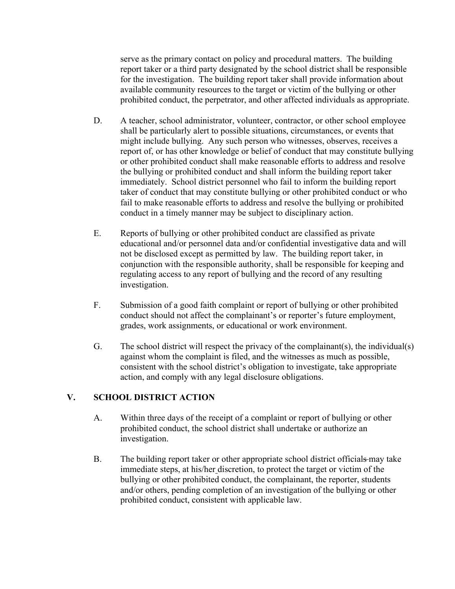serve as the primary contact on policy and procedural matters. The building report taker or a third party designated by the school district shall be responsible for the investigation. The building report taker shall provide information about available community resources to the target or victim of the bullying or other prohibited conduct, the perpetrator, and other affected individuals as appropriate.

- D. A teacher, school administrator, volunteer, contractor, or other school employee shall be particularly alert to possible situations, circumstances, or events that might include bullying. Any such person who witnesses, observes, receives a report of, or has other knowledge or belief of conduct that may constitute bullying or other prohibited conduct shall make reasonable efforts to address and resolve the bullying or prohibited conduct and shall inform the building report taker immediately. School district personnel who fail to inform the building report taker of conduct that may constitute bullying or other prohibited conduct or who fail to make reasonable efforts to address and resolve the bullying or prohibited conduct in a timely manner may be subject to disciplinary action.
- E. Reports of bullying or other prohibited conduct are classified as private educational and/or personnel data and/or confidential investigative data and will not be disclosed except as permitted by law. The building report taker, in conjunction with the responsible authority, shall be responsible for keeping and regulating access to any report of bullying and the record of any resulting investigation.
- F. Submission of a good faith complaint or report of bullying or other prohibited conduct should not affect the complainant's or reporter's future employment, grades, work assignments, or educational or work environment.
- G. The school district will respect the privacy of the complainant(s), the individual(s) against whom the complaint is filed, and the witnesses as much as possible, consistent with the school district's obligation to investigate, take appropriate action, and comply with any legal disclosure obligations.

## **V. SCHOOL DISTRICT ACTION**

- A. Within three days of the receipt of a complaint or report of bullying or other prohibited conduct, the school district shall undertake or authorize an investigation.
- B. The building report taker or other appropriate school district officials may take immediate steps, at his/her discretion, to protect the target or victim of the bullying or other prohibited conduct, the complainant, the reporter, students and/or others, pending completion of an investigation of the bullying or other prohibited conduct, consistent with applicable law.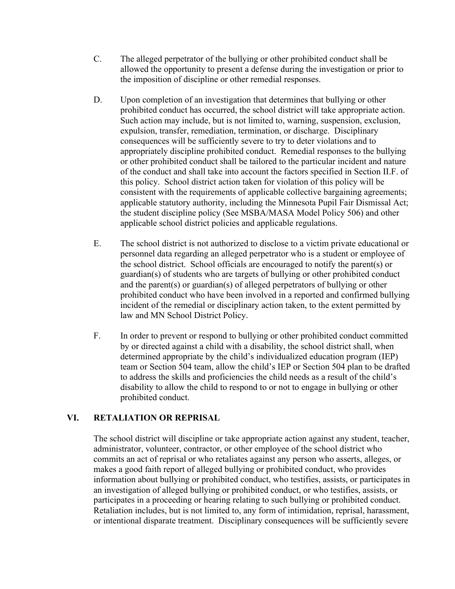- C. The alleged perpetrator of the bullying or other prohibited conduct shall be allowed the opportunity to present a defense during the investigation or prior to the imposition of discipline or other remedial responses.
- D. Upon completion of an investigation that determines that bullying or other prohibited conduct has occurred, the school district will take appropriate action. Such action may include, but is not limited to, warning, suspension, exclusion, expulsion, transfer, remediation, termination, or discharge. Disciplinary consequences will be sufficiently severe to try to deter violations and to appropriately discipline prohibited conduct. Remedial responses to the bullying or other prohibited conduct shall be tailored to the particular incident and nature of the conduct and shall take into account the factors specified in Section II.F. of this policy. School district action taken for violation of this policy will be consistent with the requirements of applicable collective bargaining agreements; applicable statutory authority, including the Minnesota Pupil Fair Dismissal Act; the student discipline policy (See MSBA/MASA Model Policy 506) and other applicable school district policies and applicable regulations.
- E. The school district is not authorized to disclose to a victim private educational or personnel data regarding an alleged perpetrator who is a student or employee of the school district. School officials are encouraged to notify the parent(s) or guardian(s) of students who are targets of bullying or other prohibited conduct and the parent(s) or guardian(s) of alleged perpetrators of bullying or other prohibited conduct who have been involved in a reported and confirmed bullying incident of the remedial or disciplinary action taken, to the extent permitted by law and MN School District Policy.
- F. In order to prevent or respond to bullying or other prohibited conduct committed by or directed against a child with a disability, the school district shall, when determined appropriate by the child's individualized education program (IEP) team or Section 504 team, allow the child's IEP or Section 504 plan to be drafted to address the skills and proficiencies the child needs as a result of the child's disability to allow the child to respond to or not to engage in bullying or other prohibited conduct.

## **VI. RETALIATION OR REPRISAL**

The school district will discipline or take appropriate action against any student, teacher, administrator, volunteer, contractor, or other employee of the school district who commits an act of reprisal or who retaliates against any person who asserts, alleges, or makes a good faith report of alleged bullying or prohibited conduct, who provides information about bullying or prohibited conduct, who testifies, assists, or participates in an investigation of alleged bullying or prohibited conduct, or who testifies, assists, or participates in a proceeding or hearing relating to such bullying or prohibited conduct. Retaliation includes, but is not limited to, any form of intimidation, reprisal, harassment, or intentional disparate treatment. Disciplinary consequences will be sufficiently severe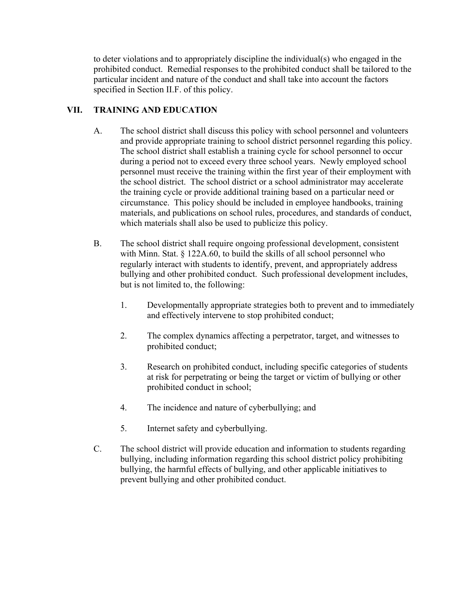to deter violations and to appropriately discipline the individual(s) who engaged in the prohibited conduct. Remedial responses to the prohibited conduct shall be tailored to the particular incident and nature of the conduct and shall take into account the factors specified in Section II.F. of this policy.

# **VII. TRAINING AND EDUCATION**

- A. The school district shall discuss this policy with school personnel and volunteers and provide appropriate training to school district personnel regarding this policy. The school district shall establish a training cycle for school personnel to occur during a period not to exceed every three school years. Newly employed school personnel must receive the training within the first year of their employment with the school district. The school district or a school administrator may accelerate the training cycle or provide additional training based on a particular need or circumstance. This policy should be included in employee handbooks, training materials, and publications on school rules, procedures, and standards of conduct, which materials shall also be used to publicize this policy.
- B. The school district shall require ongoing professional development, consistent with Minn. Stat. § 122A.60, to build the skills of all school personnel who regularly interact with students to identify, prevent, and appropriately address bullying and other prohibited conduct. Such professional development includes, but is not limited to, the following:
	- 1. Developmentally appropriate strategies both to prevent and to immediately and effectively intervene to stop prohibited conduct;
	- 2. The complex dynamics affecting a perpetrator, target, and witnesses to prohibited conduct;
	- 3. Research on prohibited conduct, including specific categories of students at risk for perpetrating or being the target or victim of bullying or other prohibited conduct in school;
	- 4. The incidence and nature of cyberbullying; and
	- 5. Internet safety and cyberbullying.
- C. The school district will provide education and information to students regarding bullying, including information regarding this school district policy prohibiting bullying, the harmful effects of bullying, and other applicable initiatives to prevent bullying and other prohibited conduct.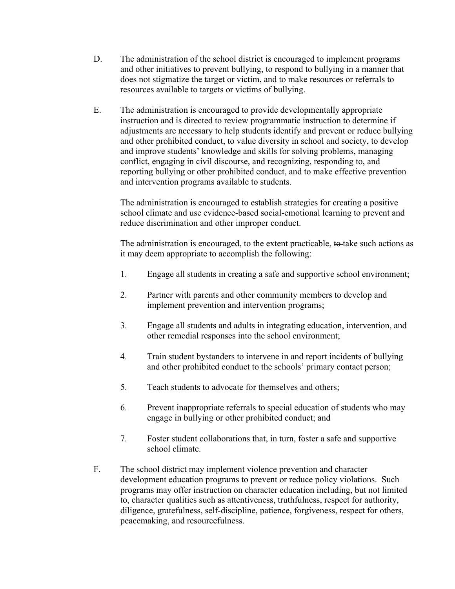- D. The administration of the school district is encouraged to implement programs and other initiatives to prevent bullying, to respond to bullying in a manner that does not stigmatize the target or victim, and to make resources or referrals to resources available to targets or victims of bullying.
- E. The administration is encouraged to provide developmentally appropriate instruction and is directed to review programmatic instruction to determine if adjustments are necessary to help students identify and prevent or reduce bullying and other prohibited conduct, to value diversity in school and society, to develop and improve students' knowledge and skills for solving problems, managing conflict, engaging in civil discourse, and recognizing, responding to, and reporting bullying or other prohibited conduct, and to make effective prevention and intervention programs available to students.

The administration is encouraged to establish strategies for creating a positive school climate and use evidence-based social-emotional learning to prevent and reduce discrimination and other improper conduct.

The administration is encouraged, to the extent practicable, to take such actions as it may deem appropriate to accomplish the following:

- 1. Engage all students in creating a safe and supportive school environment;
- 2. Partner with parents and other community members to develop and implement prevention and intervention programs;
- 3. Engage all students and adults in integrating education, intervention, and other remedial responses into the school environment;
- 4. Train student bystanders to intervene in and report incidents of bullying and other prohibited conduct to the schools' primary contact person;
- 5. Teach students to advocate for themselves and others;
- 6. Prevent inappropriate referrals to special education of students who may engage in bullying or other prohibited conduct; and
- 7. Foster student collaborations that, in turn, foster a safe and supportive school climate.
- F. The school district may implement violence prevention and character development education programs to prevent or reduce policy violations. Such programs may offer instruction on character education including, but not limited to, character qualities such as attentiveness, truthfulness, respect for authority, diligence, gratefulness, self-discipline, patience, forgiveness, respect for others, peacemaking, and resourcefulness.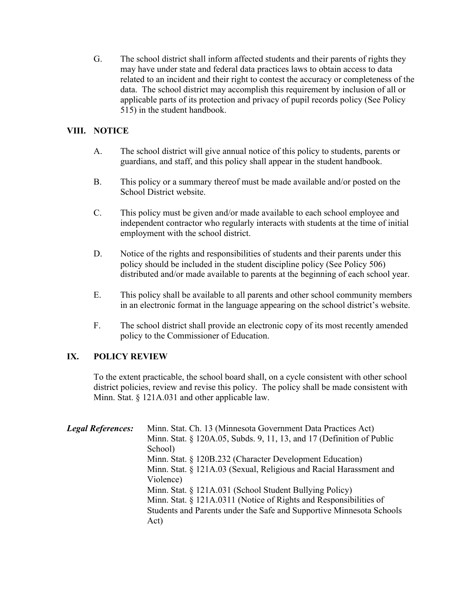G. The school district shall inform affected students and their parents of rights they may have under state and federal data practices laws to obtain access to data related to an incident and their right to contest the accuracy or completeness of the data. The school district may accomplish this requirement by inclusion of all or applicable parts of its protection and privacy of pupil records policy (See Policy 515) in the student handbook.

#### **VIII. NOTICE**

- A. The school district will give annual notice of this policy to students, parents or guardians, and staff, and this policy shall appear in the student handbook.
- B. This policy or a summary thereof must be made available and/or posted on the School District website.
- C. This policy must be given and/or made available to each school employee and independent contractor who regularly interacts with students at the time of initial employment with the school district.
- D. Notice of the rights and responsibilities of students and their parents under this policy should be included in the student discipline policy (See Policy 506) distributed and/or made available to parents at the beginning of each school year.
- E. This policy shall be available to all parents and other school community members in an electronic format in the language appearing on the school district's website.
- F. The school district shall provide an electronic copy of its most recently amended policy to the Commissioner of Education.

## **IX. POLICY REVIEW**

To the extent practicable, the school board shall, on a cycle consistent with other school district policies, review and revise this policy. The policy shall be made consistent with Minn. Stat. § 121A.031 and other applicable law.

| <b>Legal References:</b> | Minn. Stat. Ch. 13 (Minnesota Government Data Practices Act)          |
|--------------------------|-----------------------------------------------------------------------|
|                          | Minn. Stat. § 120A.05, Subds. 9, 11, 13, and 17 (Definition of Public |
|                          | School)                                                               |
|                          | Minn. Stat. § 120B.232 (Character Development Education)              |
|                          | Minn. Stat. § 121A.03 (Sexual, Religious and Racial Harassment and    |
|                          | Violence)                                                             |
|                          | Minn. Stat. § 121A.031 (School Student Bullying Policy)               |
|                          | Minn. Stat. § 121A.0311 (Notice of Rights and Responsibilities of     |
|                          | Students and Parents under the Safe and Supportive Minnesota Schools  |
|                          | Act)                                                                  |